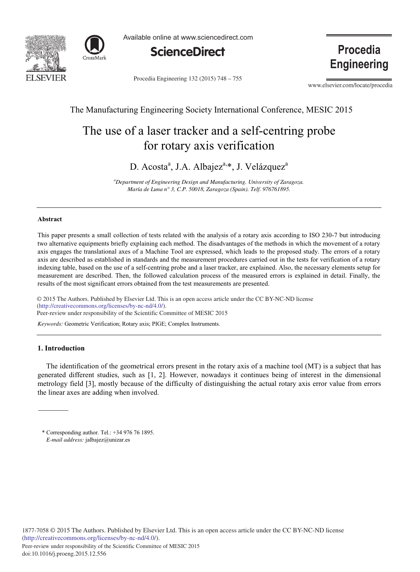



Available online at www.sciencedirect.com



Procedia Engineering 132 (2015) 748 - 755

Procedia **Engineering** 

www.elsevier.com/locate/procedia

# The Manufacturing Engineering Society International Conference, MESIC 2015

# The use of a laser tracker and a self-centring probe for rotary axis verification

D. Acosta<sup>a</sup>, J.A. Albajez<sup>a,\*</sup>, J. Velázquez<sup>a</sup>

*a Department of Engineering Design and Manufacturing. University of Zaragoza. María de Luna n° 3, C.P. 50018, Zaragoza (Spain). Telf. 976761895.* 

## **Abstract**

This paper presents a small collection of tests related with the analysis of a rotary axis according to ISO 230-7 but introducing two alternative equipments briefly explaining each method. The disadvantages of the methods in which the movement of a rotary axis engages the translational axes of a Machine Tool are expressed, which leads to the proposed study. The errors of a rotary axis are described as established in standards and the measurement procedures carried out in the tests for verification of a rotary indexing table, based on the use of a self-centring probe and a laser tracker, are explained. Also, the necessary elements setup for measurement are described. Then, the followed calculation process of the measured errors is explained in detail. Finally, the results of the most significant errors obtained from the test measurements are presented.

© 2016 The Authors. Published by Elsevier Ltd. © 2015 The Authors. Published by Elsevier Ltd. This is an open access article under the CC BY-NC-ND license Peer-review under responsibility of the Scientific Committee of MESIC 2015. Peer-review under responsibility of the Scientific Committee of MESIC 2015(http://creativecommons.org/licenses/by-nc-nd/4.0/).

*Keywords:* Geometric Verification; Rotary axis; PIGE; Complex Instruments.

#### **1. Introduction**

The identification of the geometrical errors present in the rotary axis of a machine tool (MT) is a subject that has generated different studies, such as [1, 2]. However, nowadays it continues being of interest in the dimensional metrology field [3], mostly because of the difficulty of distinguishing the actual rotary axis error value from errors the linear axes are adding when involved.

\* Corresponding author. Tel.: +34 976 76 1895. *E-mail address:* jalbajez@unizar.es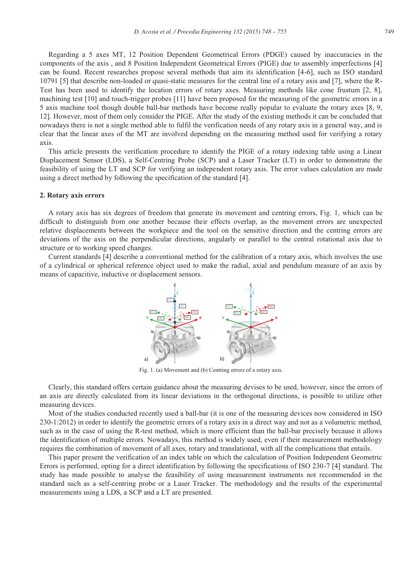Regarding a 5 axes MT, 12 Position Dependent Geometrical Errors (PDGE) caused by inaccuracies in the components of the axis , and 8 Position Independent Geometrical Errors (PIGE) due to assembly imperfections [4] can be found. Recent researches propose several methods that aim its identification [4-6], such as ISO standard 10791 [5] that describe non-loaded or quasi-static measures for the central line of a rotary axis and [7], where the R-Test has been used to identify the location errors of rotary axes. Measuring methods like cone frustum [2, 8], machining test [10] and touch-trigger probes [11] have been proposed for the measuring of the geometric errors in a 5 axis machine tool though double ball-bar methods have become really popular to evaluate the rotary axes [8, 9, 12]. However, most of them only consider the PIGE. After the study of the existing methods it can be concluded that nowadays there is not a single method able to fulfil the verification needs of any rotary axis in a general way, and is clear that the linear axes of the MT are involved depending on the measuring method used for verifying a rotary axis.

This article presents the verification procedure to identify the PIGE of a rotary indexing table using a Linear Displacement Sensor (LDS), a Self-Centring Probe (SCP) and a Laser Tracker (LT) in order to demonstrate the feasibility of using the LT and SCP for verifying an independent rotary axis. The error values calculation are made using a direct method by following the specification of the standard [4].

# **2. Rotary axis errors**

A rotary axis has six degrees of freedom that generate its movement and centring errors, Fig. 1, which can be difficult to distinguish from one another because their effects overlap, as the movement errors are unexpected relative displacements between the workpiece and the tool on the sensitive direction and the centring errors are deviations of the axis on the perpendicular directions, angularly or parallel to the central rotational axis due to structure or to working speed changes.

Current standards [4] describe a conventional method for the calibration of a rotary axis, which involves the use of a cylindrical or spherical reference object used to make the radial, axial and pendulum measure of an axis by means of capacitive, inductive or displacement sensors.



Fig. 1. (a) Movement and (b) Centring errors of a rotary axis.

Clearly, this standard offers certain guidance about the measuring devises to be used, however, since the errors of an axis are directly calculated from its linear deviations in the orthogonal directions, is possible to utilize other measuring devices.

Most of the studies conducted recently used a ball-bar (it is one of the measuring devices now considered in ISO 230-1:2012) in order to identify the geometric errors of a rotary axis in a direct way and not as a volumetric method, such as in the case of using the R-test method, which is more efficient than the ball-bar precisely because it allows the identification of multiple errors. Nowadays, this method is widely used, even if their measurement methodology requires the combination of movement of all axes, rotary and translational, with all the complications that entails.

This paper present the verification of an index table on which the calculation of Position Independent Geometric Errors is performed, opting for a direct identification by following the specifications of ISO 230-7 [4] standard. The study has made possible to analyse the feasibility of using measurement instruments not recommended in the standard such as a self-centring probe or a Laser Tracker. The methodology and the results of the experimental measurements using a LDS, a SCP and a LT are presented.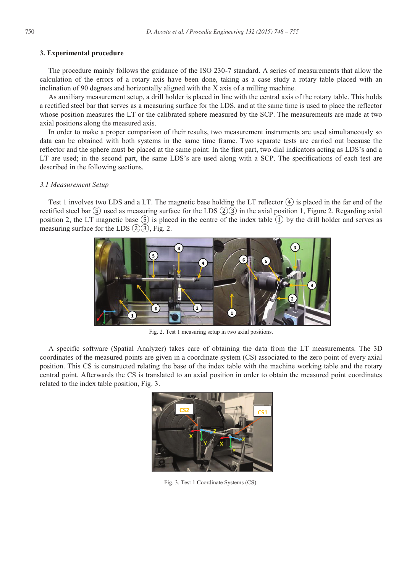#### **3. Experimental procedure**

The procedure mainly follows the guidance of the ISO 230-7 standard. A series of measurements that allow the calculation of the errors of a rotary axis have been done, taking as a case study a rotary table placed with an inclination of 90 degrees and horizontally aligned with the X axis of a milling machine.

As auxiliary measurement setup, a drill holder is placed in line with the central axis of the rotary table. This holds a rectified steel bar that serves as a measuring surface for the LDS, and at the same time is used to place the reflector whose position measures the LT or the calibrated sphere measured by the SCP. The measurements are made at two axial positions along the measured axis.

In order to make a proper comparison of their results, two measurement instruments are used simultaneously so data can be obtained with both systems in the same time frame. Two separate tests are carried out because the reflector and the sphere must be placed at the same point: In the first part, two dial indicators acting as LDS's and a LT are used; in the second part, the same LDS's are used along with a SCP. The specifications of each test are described in the following sections.

#### *3.1 Measurement Setup*

Test 1 involves two LDS and a LT. The magnetic base holding the LT reflector  $(4)$  is placed in the far end of the rectified steel bar  $(\overline{5})$  used as measuring surface for the LDS  $(2)(3)$  in the axial position 1, Figure 2. Regarding axial position 2, the LT magnetic base  $(\overline{S})$  is placed in the centre of the index table  $(1)$  by the drill holder and serves as measuring surface for the LDS  $(2)(3)$ , Fig. 2.



Fig. 2. Test 1 measuring setup in two axial positions.

A specific software (Spatial Analyzer) takes care of obtaining the data from the LT measurements. The 3D coordinates of the measured points are given in a coordinate system (CS) associated to the zero point of every axial position. This CS is constructed relating the base of the index table with the machine working table and the rotary central point. Afterwards the CS is translated to an axial position in order to obtain the measured point coordinates related to the index table position, Fig. 3.



Fig. 3. Test 1 Coordinate Systems (CS).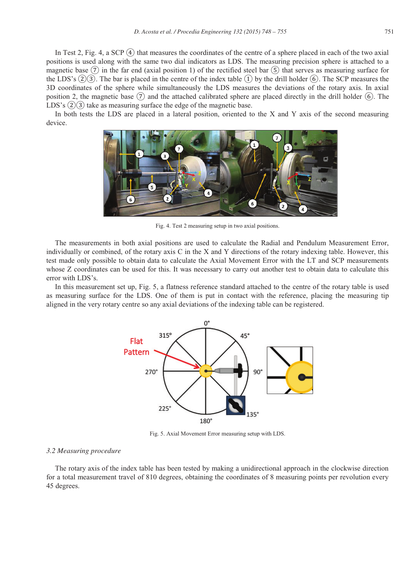In Test 2, Fig. 4, a SCP  $\overline{4}$ ) that measures the coordinates of the centre of a sphere placed in each of the two axial positions is used along with the same two dial indicators as LDS. The measuring precision sphere is attached to a magnetic base  $(\bar{7})$  in the far end (axial position 1) of the rectified steel bar  $(\bar{5})$  that serves as measuring surface for the LDS's  $(2)(3)$ . The bar is placed in the centre of the index table  $(1)$  by the drill holder  $(6)$ . The SCP measures the 3D coordinates of the sphere while simultaneously the LDS measures the deviations of the rotary axis. In axial position 2, the magnetic base  $(7)$  and the attached calibrated sphere are placed directly in the drill holder  $(6)$ . The LDS's  $(2)(3)$  take as measuring surface the edge of the magnetic base.

In both tests the LDS are placed in a lateral position, oriented to the X and Y axis of the second measuring device.



Fig. 4. Test 2 measuring setup in two axial positions.

The measurements in both axial positions are used to calculate the Radial and Pendulum Measurement Error, individually or combined, of the rotary axis C in the X and Y directions of the rotary indexing table. However, this test made only possible to obtain data to calculate the Axial Movement Error with the LT and SCP measurements whose Z coordinates can be used for this. It was necessary to carry out another test to obtain data to calculate this error with LDS's.

In this measurement set up, Fig. 5, a flatness reference standard attached to the centre of the rotary table is used as measuring surface for the LDS. One of them is put in contact with the reference, placing the measuring tip aligned in the very rotary centre so any axial deviations of the indexing table can be registered.



Fig. 5. Axial Movement Error measuring setup with LDS.

#### *3.2 Measuring procedure*

The rotary axis of the index table has been tested by making a unidirectional approach in the clockwise direction for a total measurement travel of 810 degrees, obtaining the coordinates of 8 measuring points per revolution every 45 degrees.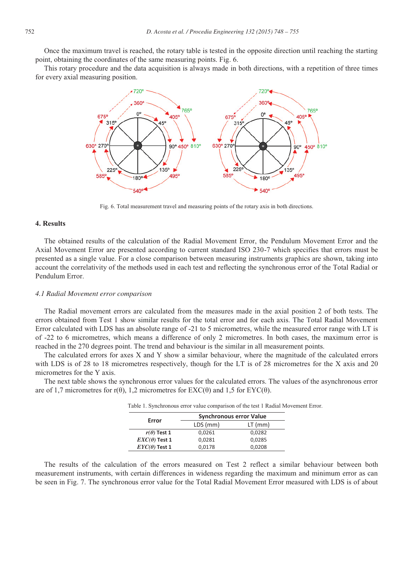Once the maximum travel is reached, the rotary table is tested in the opposite direction until reaching the starting point, obtaining the coordinates of the same measuring points. Fig. 6.

This rotary procedure and the data acquisition is always made in both directions, with a repetition of three times for every axial measuring position.



Fig. 6. Total measurement travel and measuring points of the rotary axis in both directions.

# **4. Results**

The obtained results of the calculation of the Radial Movement Error, the Pendulum Movement Error and the Axial Movement Error are presented according to current standard ISO 230-7 which specifies that errors must be presented as a single value. For a close comparison between measuring instruments graphics are shown, taking into account the correlativity of the methods used in each test and reflecting the synchronous error of the Total Radial or Pendulum Error.

#### *4.1 Radial Movement error comparison*

The Radial movement errors are calculated from the measures made in the axial position 2 of both tests. The errors obtained from Test 1 show similar results for the total error and for each axis. The Total Radial Movement Error calculated with LDS has an absolute range of -21 to 5 micrometres, while the measured error range with LT is of -22 to 6 micrometres, which means a difference of only 2 micrometres. In both cases, the maximum error is reached in the 270 degrees point. The trend and behaviour is the similar in all measurement points.

The calculated errors for axes X and Y show a similar behaviour, where the magnitude of the calculated errors with LDS is of 28 to 18 micrometres respectively, though for the LT is of 28 micrometres for the X axis and 20 micrometres for the Y axis.

The next table shows the synchronous error values for the calculated errors. The values of the asynchronous error are of 1,7 micrometres for r( $\theta$ ), 1,2 micrometres for EXC( $\theta$ ) and 1,5 for EYC( $\theta$ ).

Table 1. Synchronous error value comparison of the test 1 Radial Movement Error.

| Error                | <b>Synchronous error Value</b> |           |
|----------------------|--------------------------------|-----------|
|                      | LDS (mm)                       | $LT$ (mm) |
| $r(\theta)$ Test 1   | 0,0261                         | 0,0282    |
| $EXC(\theta)$ Test 1 | 0,0281                         | 0,0285    |
| $EYC(\theta)$ Test 1 | 0,0178                         | 0,0208    |

The results of the calculation of the errors measured on Test 2 reflect a similar behaviour between both measurement instruments, with certain differences in wideness regarding the maximum and minimum error as can be seen in Fig. 7. The synchronous error value for the Total Radial Movement Error measured with LDS is of about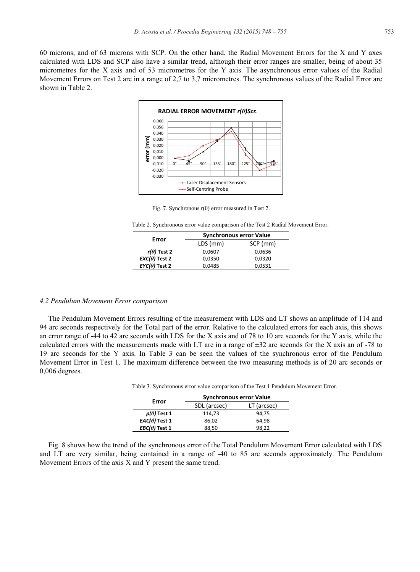60 microns, and of 63 microns with SCP. On the other hand, the Radial Movement Errors for the X and Y axes calculated with LDS and SCP also have a similar trend, although their error ranges are smaller, being of about 35 micrometres for the X axis and of 53 micrometres for the Y axis. The asynchronous error values of the Radial Movement Errors on Test 2 are in a range of 2,7 to 3,7 micrometres. The synchronous values of the Radial Error are shown in Table 2.



Fig. 7. Synchronous  $r(\theta)$  error measured in Test 2.

Table 2. Synchronous error value comparison of the Test 2 Radial Movement Error.

| Error                | <b>Synchronous error Value</b> |          |  |
|----------------------|--------------------------------|----------|--|
|                      | LDS (mm)                       | SCP (mm) |  |
| $r(\theta)$ Test 2   | 0.0607                         | 0,0636   |  |
| $EXC(\theta)$ Test 2 | 0.0350                         | 0.0320   |  |
| $EYC(\theta)$ Test 2 | 0,0485                         | 0,0531   |  |
|                      |                                |          |  |

#### *4.2 Pendulum Movement Error comparison*

The Pendulum Movement Errors resulting of the measurement with LDS and LT shows an amplitude of 114 and 94 arc seconds respectively for the Total part of the error. Relative to the calculated errors for each axis, this shows an error range of -44 to 42 arc seconds with LDS for the X axis and of 78 to 10 arc seconds for the Y axis, while the calculated errors with the measurements made with LT are in a range of  $\pm 32$  arc seconds for the X axis an of -78 to 19 arc seconds for the Y axis. In Table 3 can be seen the values of the synchronous error of the Pendulum Movement Error in Test 1. The maximum difference between the two measuring methods is of 20 arc seconds or 0,006 degrees.

| Table 3. Synchronous error value comparison of the Test 1 Pendulum Moveme |                                |             |  |  |
|---------------------------------------------------------------------------|--------------------------------|-------------|--|--|
|                                                                           | <b>Synchronous error Value</b> |             |  |  |
| Error                                                                     | SDL (arcsec)                   | LT (arcsec) |  |  |
| $p(\theta)$ Test 1                                                        | 114,73                         | 94.75       |  |  |
| $EAC(\theta)$ Test 1                                                      | 86,02                          | 64.98       |  |  |
| $EBC(\theta)$ Test 1                                                      | 88,50                          | 98,22       |  |  |

Table 3. Synchronous error value comparison of the Test 1 Pendulum Movement Error.

Fig. 8 shows how the trend of the synchronous error of the Total Pendulum Movement Error calculated with LDS and LT are very similar, being contained in a range of -40 to 85 arc seconds approximately. The Pendulum Movement Errors of the axis X and Y present the same trend.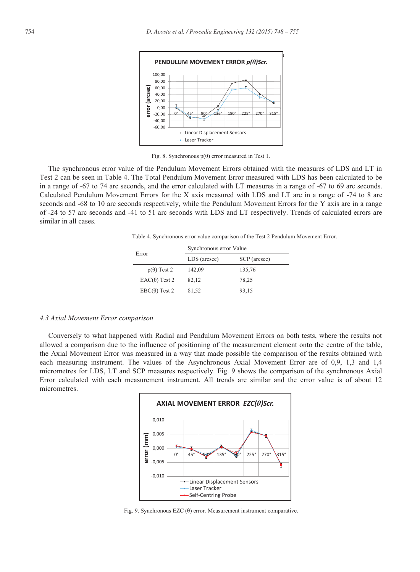

Fig. 8. Synchronous  $p(\theta)$  error measured in Test 1.

The synchronous error value of the Pendulum Movement Errors obtained with the measures of LDS and LT in Test 2 can be seen in Table 4. The Total Pendulum Movement Error measured with LDS has been calculated to be in a range of -67 to 74 arc seconds, and the error calculated with LT measures in a range of -67 to 69 arc seconds. Calculated Pendulum Movement Errors for the X axis measured with LDS and LT are in a range of -74 to 8 arc seconds and -68 to 10 arc seconds respectively, while the Pendulum Movement Errors for the Y axis are in a range of -24 to 57 arc seconds and -41 to 51 arc seconds with LDS and LT respectively. Trends of calculated errors are similar in all cases.

Table 4. Synchronous error value comparison of the Test 2 Pendulum Movement Error.

| Error                | Synchronous error Value |              |  |
|----------------------|-------------------------|--------------|--|
|                      | LDS (arcsec)            | SCP (arcsec) |  |
| $p(\theta)$ Test 2   | 142,09                  | 135,76       |  |
| $EAC(\theta)$ Test 2 | 82,12                   | 78,25        |  |
| $EBC(\theta)$ Test 2 | 81,52                   | 93,15        |  |

## *4.3 Axial Movement Error comparison*

Conversely to what happened with Radial and Pendulum Movement Errors on both tests, where the results not allowed a comparison due to the influence of positioning of the measurement element onto the centre of the table, the Axial Movement Error was measured in a way that made possible the comparison of the results obtained with each measuring instrument. The values of the Asynchronous Axial Movement Error are of 0,9, 1,3 and 1,4 micrometres for LDS, LT and SCP measures respectively. Fig. 9 shows the comparison of the synchronous Axial Error calculated with each measurement instrument. All trends are similar and the error value is of about 12 micrometres.



Fig. 9. Synchronous EZC (θ) error. Measurement instrument comparative.